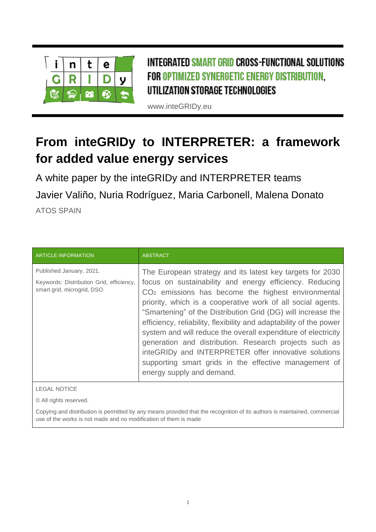

INTEGRATED SMART GRID CROSS-FUNCTIONAL SOLUTIONS FOR OPTIMIZED SYNERGETIC ENERGY DISTRIBUTION, UTILIZATION STORAGE TECHNOLOGIES

www.inteGRIDy.eu

# **From inteGRIDy to INTERPRETER: a framework for added value energy services**

A white paper by the inteGRIDy and INTERPRETER teams Javier Valiño, Nuria Rodríguez, Maria Carbonell, Malena Donato ATOS SPAIN

| <b>ARTICLE INFORMATION</b>                                                                         | <b>ABSTRACT</b>                                                                                                                                                                                                                                                                                                                                                                                                                                                                                                                                                                                                                                            |
|----------------------------------------------------------------------------------------------------|------------------------------------------------------------------------------------------------------------------------------------------------------------------------------------------------------------------------------------------------------------------------------------------------------------------------------------------------------------------------------------------------------------------------------------------------------------------------------------------------------------------------------------------------------------------------------------------------------------------------------------------------------------|
| Published January, 2021.<br>Keywords: Distribution Grid, efficiency,<br>smart grid, microgrid, DSO | The European strategy and its latest key targets for 2030<br>focus on sustainability and energy efficiency. Reducing<br>$CO2$ emissions has become the highest environmental<br>priority, which is a cooperative work of all social agents.<br>"Smartening" of the Distribution Grid (DG) will increase the<br>efficiency, reliability, flexibility and adaptability of the power<br>system and will reduce the overall expenditure of electricity<br>generation and distribution. Research projects such as<br>inteGRIDy and INTERPRETER offer innovative solutions<br>supporting smart grids in the effective management of<br>energy supply and demand. |

LEGAL NOTICE

© All rights reserved.

Copying and distribution is permitted by any means provided that the recognition of its authors is maintained, commercial use of the works is not made and no modification of them is made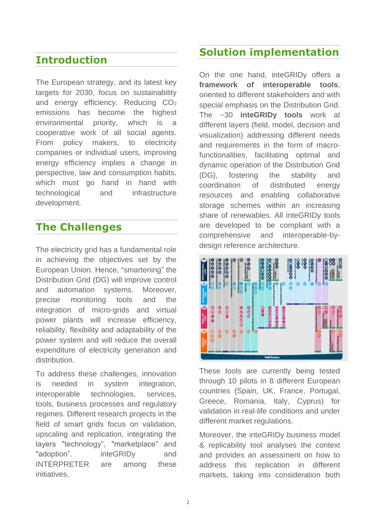#### **Introduction**

The European strategy, and its latest key targets for 2030, focus on sustainability and energy efficiency. Reducing CO<sup>2</sup> emissions has become the highest environmental priority, which is a cooperative work of all social agents. From policy makers, to electricity companies or individual users, improving energy efficiency implies a change in perspective, law and consumption habits, which must go hand in hand with technological and infrastructure development.

## **The Challenges**

The electricity grid has a fundamental role in achieving the objectives set by the European Union. Hence, "smartening" the Distribution Grid (DG) will improve control and automation systems. Moreover, precise monitoring tools and the integration of micro-grids and virtual power plants will increase efficiency, reliability, flexibility and adaptability of the power system and will reduce the overall expenditure of electricity generation and distribution.

To address these challenges, innovation is needed in system integration, interoperable technologies, services, tools, business processes and regulatory regimes. Different research projects in the field of smart grids focus on validation, upscaling and replication, integrating the layers "technology", "marketplace" and "adoption". inteGRIDy and INTERPRETER are among these initiatives.

## **Solution implementation**

On the one hand, inteGRIDy offers a **framework of interoperable tools**, oriented to different stakeholders and with special emphasis on the Distribution Grid. The ~30 **inteGRIDy tools** work at different layers (field, model, decision and visualization) addressing different needs and requirements in the form of macrofunctionalities, facilitating optimal and dynamic operation of the Distribution Grid (DG), fostering the stability and coordination of distributed energy resources and enabling collaborative storage schemes within an increasing share of renewables. All inteGRIDy tools are developed to be compliant with a comprehensive and interoperable-bydesign reference architecture.



These tools are currently being tested through 10 pilots in 8 different European countries (Spain, UK, France, Portugal, Greece, Romania, Italy, Cyprus) for validation in real-life conditions and under different market regulations.

Moreover, the inteGRIDy business model & replicability tool analyses the context and provides an assessment on how to address this replication in different markets, taking into consideration both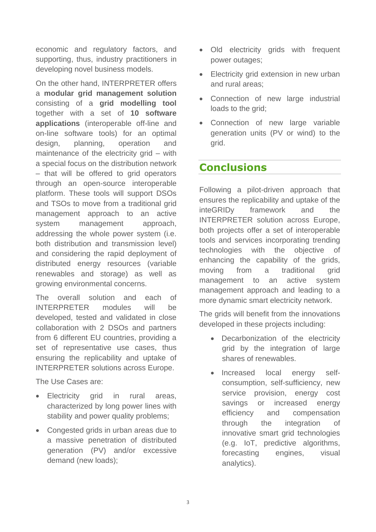economic and regulatory factors, and supporting, thus, industry practitioners in developing novel business models.

On the other hand, INTERPRETER offers a **modular grid management solution** consisting of a **grid modelling tool** together with a set of **10 software applications** (interoperable off-line and on-line software tools) for an optimal design, planning, operation and maintenance of the electricity grid – with a special focus on the distribution network – that will be offered to grid operators through an open-source interoperable platform. These tools will support DSOs and TSOs to move from a traditional grid management approach to an active system management approach, addressing the whole power system (i.e. both distribution and transmission level) and considering the rapid deployment of distributed energy resources (variable renewables and storage) as well as growing environmental concerns.

The overall solution and each of INTERPRETER modules will be developed, tested and validated in close collaboration with 2 DSOs and partners from 6 different EU countries, providing a set of representative use cases, thus ensuring the replicability and uptake of INTERPRETER solutions across Europe.

The Use Cases are:

- Electricity grid in rural areas, characterized by long power lines with stability and power quality problems;
- Congested grids in urban areas due to a massive penetration of distributed generation (PV) and/or excessive demand (new loads);
- Old electricity grids with frequent power outages;
- Electricity grid extension in new urban and rural areas;
- Connection of new large industrial loads to the grid;
- Connection of new large variable generation units (PV or wind) to the grid.

## **Conclusions**

Following a pilot-driven approach that ensures the replicability and uptake of the inteGRIDy framework and the INTERPRETER solution across Europe, both projects offer a set of interoperable tools and services incorporating trending technologies with the objective of enhancing the capability of the grids, moving from a traditional grid management to an active system management approach and leading to a more dynamic smart electricity network.

The grids will benefit from the innovations developed in these projects including:

- Decarbonization of the electricity grid by the integration of large shares of renewables.
- Increased local energy selfconsumption, self-sufficiency, new service provision, energy cost savings or increased energy efficiency and compensation through the integration of innovative smart grid technologies (e.g. IoT, predictive algorithms, forecasting engines, visual analytics).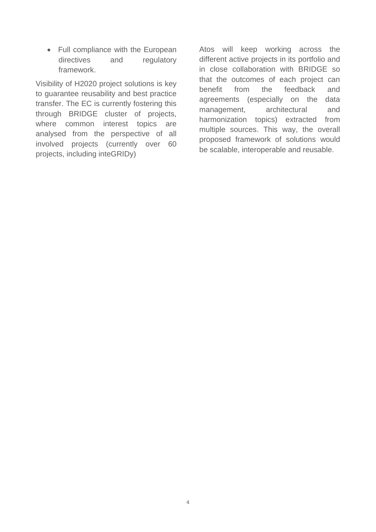• Full compliance with the European directives and regulatory framework.

Visibility of H2020 project solutions is key to guarantee reusability and best practice transfer. The EC is currently fostering this through BRIDGE cluster of projects, where common interest topics are analysed from the perspective of all involved projects (currently over 60 projects, including inteGRIDy)

Atos will keep working across the different active projects in its portfolio and in close collaboration with BRIDGE so that the outcomes of each project can benefit from the feedback and agreements (especially on the data management, architectural and harmonization topics) extracted from multiple sources. This way, the overall proposed framework of solutions would be scalable, interoperable and reusable.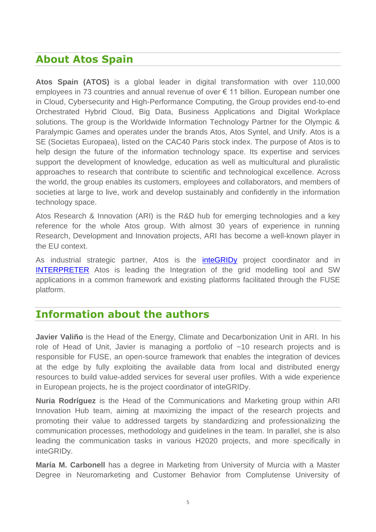## **About Atos Spain**

**Atos Spain (ATOS)** is a global leader in digital transformation with over 110,000 employees in 73 countries and annual revenue of over € 11 billion. European number one in Cloud, Cybersecurity and High-Performance Computing, the Group provides end-to-end Orchestrated Hybrid Cloud, Big Data, Business Applications and Digital Workplace solutions. The group is the Worldwide Information Technology Partner for the Olympic & Paralympic Games and operates under the brands Atos, Atos Syntel, and Unify. Atos is a SE (Societas Europaea), listed on the CAC40 Paris stock index. The purpose of Atos is to help design the future of the information technology space. Its expertise and services support the development of knowledge, education as well as multicultural and pluralistic approaches to research that contribute to scientific and technological excellence. Across the world, the group enables its customers, employees and collaborators, and members of societies at large to live, work and develop sustainably and confidently in the information technology space.

Atos Research & Innovation (ARI) is the R&D hub for emerging technologies and a key reference for the whole Atos group. With almost 30 years of experience in running Research, Development and Innovation projects, ARI has become a well-known player in the EU context.

As industrial strategic partner, Atos is the **[inteGRIDy](http://www.integridy.eu/)** project coordinator and in [INTERPRETER](http://www.interpreter-h2020.eu/) Atos is leading the Integration of the grid modelling tool and SW applications in a common framework and existing platforms facilitated through the FUSE platform.

## **Information about the authors**

**Javier Valiño** is the Head of the Energy, Climate and Decarbonization Unit in ARI. In his role of Head of Unit, Javier is managing a portfolio of ~10 research projects and is responsible for FUSE, an open-source framework that enables the integration of devices at the edge by fully exploiting the available data from local and distributed energy resources to build value-added services for several user profiles. With a wide experience in European projects, he is the project coordinator of inteGRIDy.

**Nuria Rodríguez** is the Head of the Communications and Marketing group within ARI Innovation Hub team, aiming at maximizing the impact of the research projects and promoting their value to addressed targets by standardizing and professionalizing the communication processes, methodology and guidelines in the team. In parallel, she is also leading the communication tasks in various H2020 projects, and more specifically in inteGRIDy.

**María M. Carbonell** has a degree in Marketing from University of Murcia with a Master Degree in Neuromarketing and Customer Behavior from Complutense University of